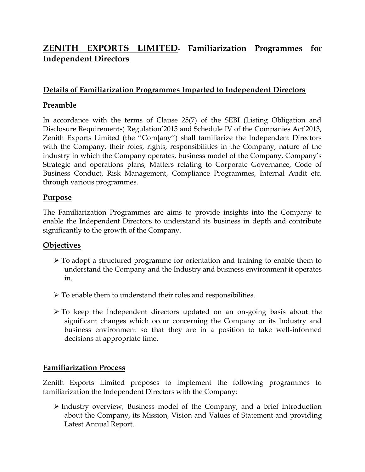# **ZENITH EXPORTS LIMITED- Familiarization Programmes for Independent Directors**

## **Details of Familiarization Programmes Imparted to Independent Directors**

## **Preamble**

In accordance with the terms of Clause 25(7) of the SEBI (Listing Obligation and Disclosure Requirements) Regulation'2015 and Schedule IV of the Companies Act'2013, Zenith Exports Limited (the ''Com[any'') shall familiarize the Independent Directors with the Company, their roles, rights, responsibilities in the Company, nature of the industry in which the Company operates, business model of the Company, Company's Strategic and operations plans, Matters relating to Corporate Governance, Code of Business Conduct, Risk Management, Compliance Programmes, Internal Audit etc. through various programmes.

#### **Purpose**

The Familiarization Programmes are aims to provide insights into the Company to enable the Independent Directors to understand its business in depth and contribute significantly to the growth of the Company.

#### **Objectives**

- To adopt a structured programme for orientation and training to enable them to understand the Company and the Industry and business environment it operates in.
- $\triangleright$  To enable them to understand their roles and responsibilities.
- $\triangleright$  To keep the Independent directors updated on an on-going basis about the significant changes which occur concerning the Company or its Industry and business environment so that they are in a position to take well-informed decisions at appropriate time.

#### **Familiarization Process**

Zenith Exports Limited proposes to implement the following programmes to familiarization the Independent Directors with the Company:

 $\triangleright$  Industry overview, Business model of the Company, and a brief introduction about the Company, its Mission, Vision and Values of Statement and providing Latest Annual Report.